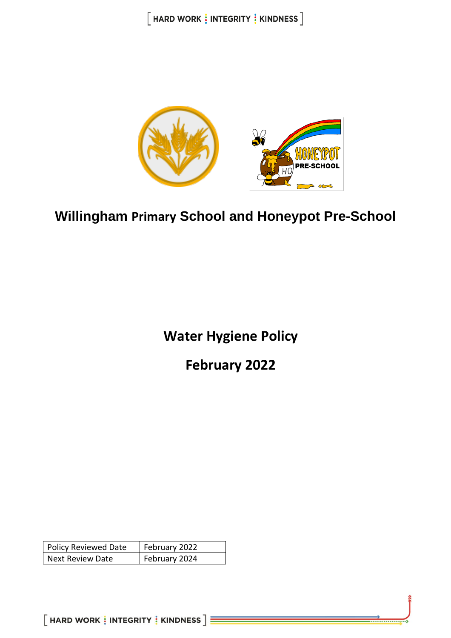$[$  HARD WORK  $\frac{1}{2}$  INTEGRITY  $\frac{1}{2}$  KINDNESS  $]$ 



# **Willingham Primary School and Honeypot Pre-School**

**Water Hygiene Policy**

**February 2022**

| <b>Policy Reviewed Date</b> | February 2022 |
|-----------------------------|---------------|
| <b>Next Review Date</b>     | February 2024 |

 $[$  HARD WORK  $\frac{1}{3}$  INTEGRITY  $\frac{1}{3}$  KINDNESS  $]\equiv$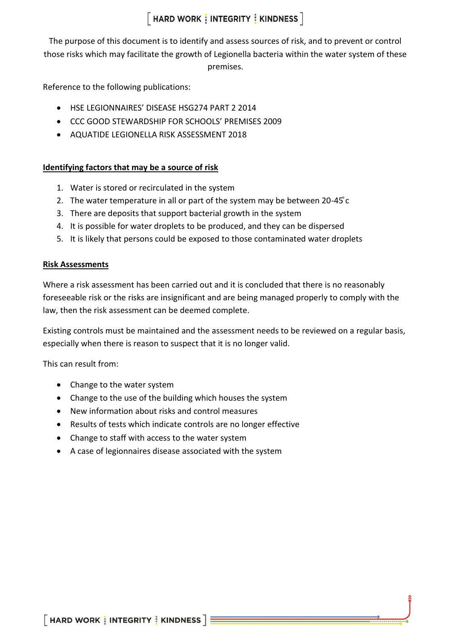# $[$  HARD WORK  $\frac{1}{3}$  INTEGRITY  $\frac{1}{3}$  KINDNESS  $]$

The purpose of this document is to identify and assess sources of risk, and to prevent or control those risks which may facilitate the growth of Legionella bacteria within the water system of these premises.

Reference to the following publications:

- HSE LEGIONNAIRES' DISEASE HSG274 PART 2 2014
- CCC GOOD STEWARDSHIP FOR SCHOOLS' PREMISES 2009
- AQUATIDE LEGIONELLA RISK ASSESSMENT 2018

# **Identifying factors that may be a source of risk**

- 1. Water is stored or recirculated in the system
- 2. The water temperature in all or part of the system may be between 20-45°C
- 3. There are deposits that support bacterial growth in the system
- 4. It is possible for water droplets to be produced, and they can be dispersed
- 5. It is likely that persons could be exposed to those contaminated water droplets

## **Risk Assessments**

Where a risk assessment has been carried out and it is concluded that there is no reasonably foreseeable risk or the risks are insignificant and are being managed properly to comply with the law, then the risk assessment can be deemed complete.

Existing controls must be maintained and the assessment needs to be reviewed on a regular basis, especially when there is reason to suspect that it is no longer valid.

This can result from:

- Change to the water system
- Change to the use of the building which houses the system
- New information about risks and control measures
- Results of tests which indicate controls are no longer effective
- Change to staff with access to the water system
- A case of legionnaires disease associated with the system